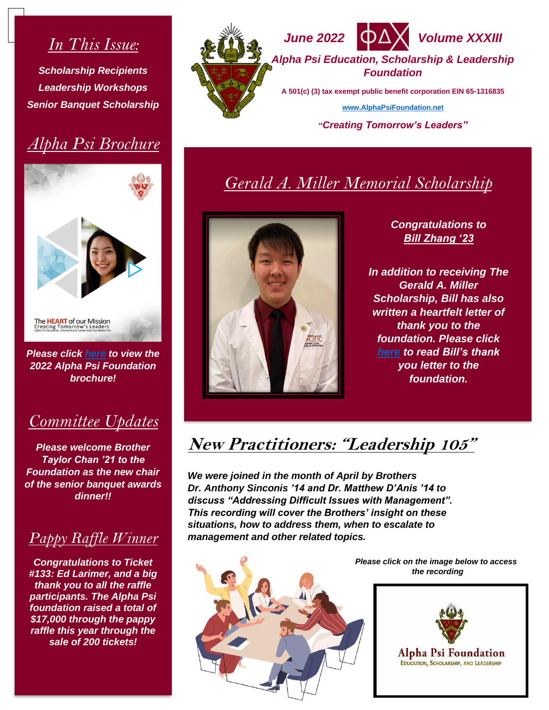## *In This Issue:*

*Scholarship Recipients Leadership Workshops Senior Banquet Scholarship*

# *Alpha Psi Brochure*



*Please click [here](https://alphapsifoundation.net/wp-content/uploads/2022/06/ALPHA-PSI-FOUNDATION-BROCHURE-2022.-pdf.pdf) to view the 2022 Alpha Psi Foundation brochure!*

### *Committee Updates*

*Please welcome Brother Taylor Chan '21 to the Foundation as the new chair of the senior banquet awards dinner!!*

### *Pappy Raffle Winner*

*Congratulations to Ticket #133: Ed Larimer, and a big thank you to all the raffle participants. The Alpha Psi foundation raised a total of \$17,000 through the pappy raffle this year through the sale of 200 tickets!*



*June 2022 Volume XXXIII Alpha Psi Education, Scholarship & Leadership Foundation*

**A 501(c) (3) tax exempt public benefit corporation EIN 65-1316835**

**[www.AlphaPsiFoundation.net](http://www.alphapsifoundation.net/)**

**"***Creating Tomorrow's Leaders"*

# *Gerald A. Miller Memorial Scholarship*



*Congratulations to Bill Zhang '23*

*In addition to receiving The Gerald A. Miller Scholarship, Bill has also written a heartfelt letter of thank you to the foundation. Please click [here](https://alphapsifoundation.net/wp-content/uploads/2022/05/d6aa58e666ee4cc5b75aa1c089a15f82-0001-1-scaled-e1651616997493.jpg) to read Bill's thank you letter to the foundation.*

# **New Practitioners: "Leadership 105"**

*We were joined in the month of April by Brothers Dr. Anthony Sinconis '14 and Dr. Matthew D'Anis '14 to discuss "Addressing Difficult Issues with Management". This recording will cover the Brothers' insight on these situations, how to address them, when to escalate to management and other related topics.*



 *Please click on the image below to access the recording*



Alpha Psi Foundation **EDUCATION, SCHOLARSHIP, AND LEADERSHIP**